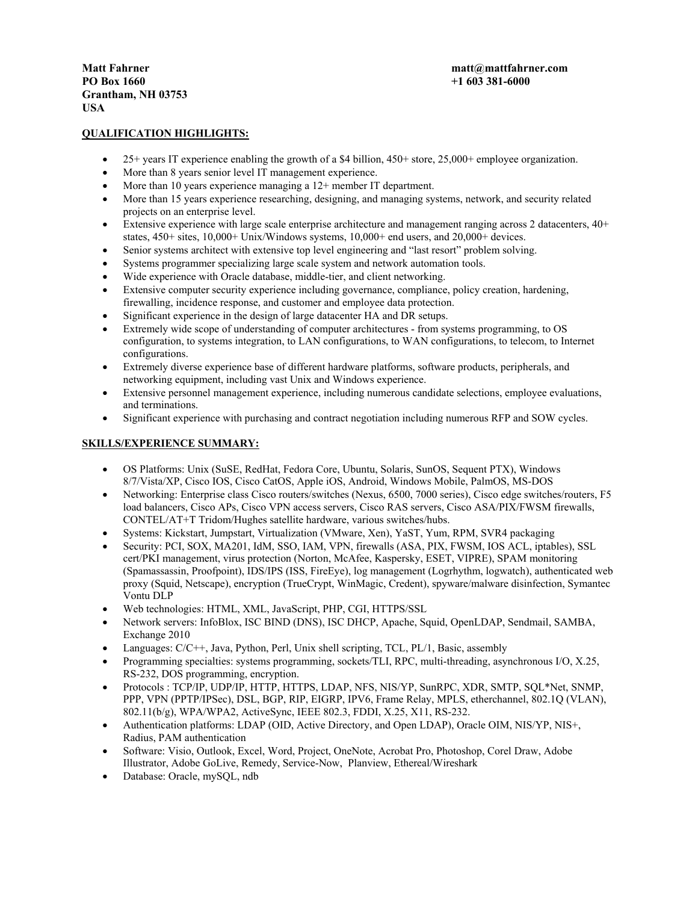**PO Box 1660 +1 603 381-6000 Grantham, NH 03753 USA** 

# **QUALIFICATION HIGHLIGHTS:**

- 25+ years IT experience enabling the growth of a \$4 billion, 450+ store, 25,000+ employee organization.
- More than 8 years senior level IT management experience.
- More than 10 years experience managing a 12+ member IT department.
- More than 15 years experience researching, designing, and managing systems, network, and security related projects on an enterprise level.
- Extensive experience with large scale enterprise architecture and management ranging across 2 datacenters,  $40+$ states, 450+ sites, 10,000+ Unix/Windows systems, 10,000+ end users, and 20,000+ devices.
- Senior systems architect with extensive top level engineering and "last resort" problem solving.
- Systems programmer specializing large scale system and network automation tools.
- Wide experience with Oracle database, middle-tier, and client networking.
- Extensive computer security experience including governance, compliance, policy creation, hardening, firewalling, incidence response, and customer and employee data protection.
- Significant experience in the design of large datacenter HA and DR setups.
- Extremely wide scope of understanding of computer architectures from systems programming, to OS configuration, to systems integration, to LAN configurations, to WAN configurations, to telecom, to Internet configurations.
- Extremely diverse experience base of different hardware platforms, software products, peripherals, and networking equipment, including vast Unix and Windows experience.
- Extensive personnel management experience, including numerous candidate selections, employee evaluations, and terminations.
- Significant experience with purchasing and contract negotiation including numerous RFP and SOW cycles.

## **SKILLS/EXPERIENCE SUMMARY:**

- OS Platforms: Unix (SuSE, RedHat, Fedora Core, Ubuntu, Solaris, SunOS, Sequent PTX), Windows 8/7/Vista/XP, Cisco IOS, Cisco CatOS, Apple iOS, Android, Windows Mobile, PalmOS, MS-DOS
- Networking: Enterprise class Cisco routers/switches (Nexus, 6500, 7000 series), Cisco edge switches/routers, F5 load balancers, Cisco APs, Cisco VPN access servers, Cisco RAS servers, Cisco ASA/PIX/FWSM firewalls, CONTEL/AT+T Tridom/Hughes satellite hardware, various switches/hubs.
- Systems: Kickstart, Jumpstart, Virtualization (VMware, Xen), YaST, Yum, RPM, SVR4 packaging
- Security: PCI, SOX, MA201, IdM, SSO, IAM, VPN, firewalls (ASA, PIX, FWSM, IOS ACL, iptables), SSL cert/PKI management, virus protection (Norton, McAfee, Kaspersky, ESET, VIPRE), SPAM monitoring (Spamassassin, Proofpoint), IDS/IPS (ISS, FireEye), log management (Logrhythm, logwatch), authenticated web proxy (Squid, Netscape), encryption (TrueCrypt, WinMagic, Credent), spyware/malware disinfection, Symantec Vontu DLP
- Web technologies: HTML, XML, JavaScript, PHP, CGI, HTTPS/SSL
- Network servers: InfoBlox, ISC BIND (DNS), ISC DHCP, Apache, Squid, OpenLDAP, Sendmail, SAMBA, Exchange 2010
- Languages: C/C++, Java, Python, Perl, Unix shell scripting, TCL, PL/1, Basic, assembly
- Programming specialties: systems programming, sockets/TLI, RPC, multi-threading, asynchronous I/O, X.25, RS-232, DOS programming, encryption.
- Protocols : TCP/IP, UDP/IP, HTTP, HTTPS, LDAP, NFS, NIS/YP, SunRPC, XDR, SMTP, SQL\*Net, SNMP, PPP, VPN (PPTP/IPSec), DSL, BGP, RIP, EIGRP, IPV6, Frame Relay, MPLS, etherchannel, 802.1Q (VLAN), 802.11(b/g), WPA/WPA2, ActiveSync, IEEE 802.3, FDDI, X.25, X11, RS-232.
- Authentication platforms: LDAP (OID, Active Directory, and Open LDAP), Oracle OIM, NIS/YP, NIS+, Radius, PAM authentication
- Software: Visio, Outlook, Excel, Word, Project, OneNote, Acrobat Pro, Photoshop, Corel Draw, Adobe Illustrator, Adobe GoLive, Remedy, Service-Now, Planview, Ethereal/Wireshark
- Database: Oracle, mySQL, ndb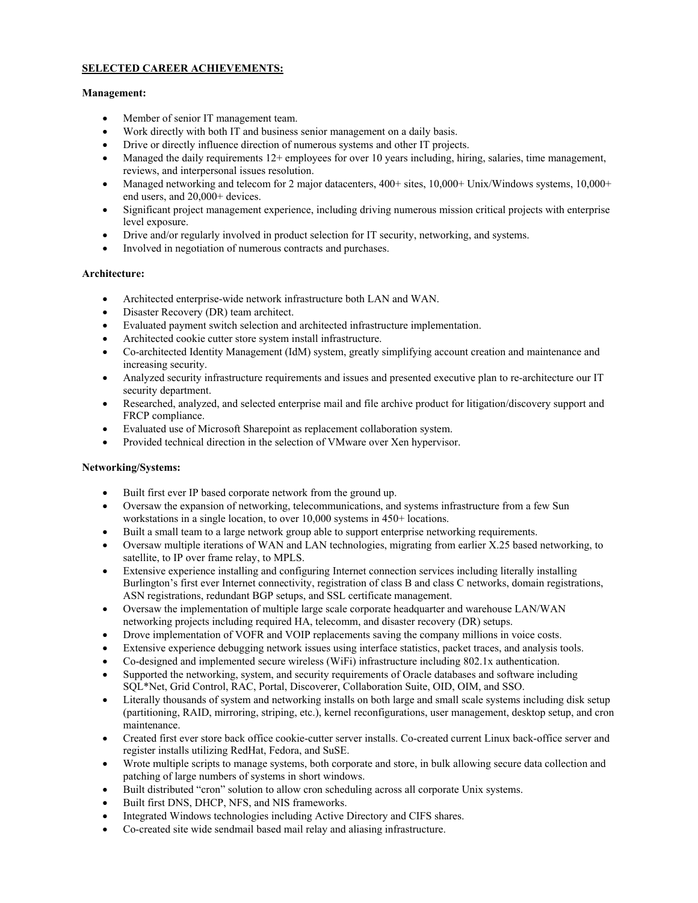# **SELECTED CAREER ACHIEVEMENTS:**

## **Management:**

- Member of senior IT management team.
- Work directly with both IT and business senior management on a daily basis.
- Drive or directly influence direction of numerous systems and other IT projects.
- $\bullet$  Managed the daily requirements 12+ employees for over 10 years including, hiring, salaries, time management, reviews, and interpersonal issues resolution.
- Managed networking and telecom for 2 major datacenters,  $400+$  sites,  $10,000+$  Unix/Windows systems,  $10,000+$ end users, and 20,000+ devices.
- Significant project management experience, including driving numerous mission critical projects with enterprise level exposure.
- Drive and/or regularly involved in product selection for IT security, networking, and systems.
- Involved in negotiation of numerous contracts and purchases.

## **Architecture:**

- Architected enterprise-wide network infrastructure both LAN and WAN.
- Disaster Recovery (DR) team architect.
- Evaluated payment switch selection and architected infrastructure implementation.
- Architected cookie cutter store system install infrastructure.
- Co-architected Identity Management (IdM) system, greatly simplifying account creation and maintenance and increasing security.
- Analyzed security infrastructure requirements and issues and presented executive plan to re-architecture our IT security department.
- Researched, analyzed, and selected enterprise mail and file archive product for litigation/discovery support and FRCP compliance.
- Evaluated use of Microsoft Sharepoint as replacement collaboration system.
- Provided technical direction in the selection of VMware over Xen hypervisor.

## **Networking/Systems:**

- Built first ever IP based corporate network from the ground up.
- Oversaw the expansion of networking, telecommunications, and systems infrastructure from a few Sun workstations in a single location, to over 10,000 systems in 450+ locations.
- Built a small team to a large network group able to support enterprise networking requirements.
- Oversaw multiple iterations of WAN and LAN technologies, migrating from earlier X.25 based networking, to satellite, to IP over frame relay, to MPLS.
- Extensive experience installing and configuring Internet connection services including literally installing Burlington's first ever Internet connectivity, registration of class B and class C networks, domain registrations, ASN registrations, redundant BGP setups, and SSL certificate management.
- Oversaw the implementation of multiple large scale corporate headquarter and warehouse LAN/WAN networking projects including required HA, telecomm, and disaster recovery (DR) setups.
- Drove implementation of VOFR and VOIP replacements saving the company millions in voice costs.
- Extensive experience debugging network issues using interface statistics, packet traces, and analysis tools.
- Co-designed and implemented secure wireless (WiFi) infrastructure including 802.1x authentication.
- Supported the networking, system, and security requirements of Oracle databases and software including SQL\*Net, Grid Control, RAC, Portal, Discoverer, Collaboration Suite, OID, OIM, and SSO.
- Literally thousands of system and networking installs on both large and small scale systems including disk setup (partitioning, RAID, mirroring, striping, etc.), kernel reconfigurations, user management, desktop setup, and cron maintenance.
- Created first ever store back office cookie-cutter server installs. Co-created current Linux back-office server and register installs utilizing RedHat, Fedora, and SuSE.
- Wrote multiple scripts to manage systems, both corporate and store, in bulk allowing secure data collection and patching of large numbers of systems in short windows.
- Built distributed "cron" solution to allow cron scheduling across all corporate Unix systems.
- Built first DNS, DHCP, NFS, and NIS frameworks.
- Integrated Windows technologies including Active Directory and CIFS shares.
- Co-created site wide sendmail based mail relay and aliasing infrastructure.